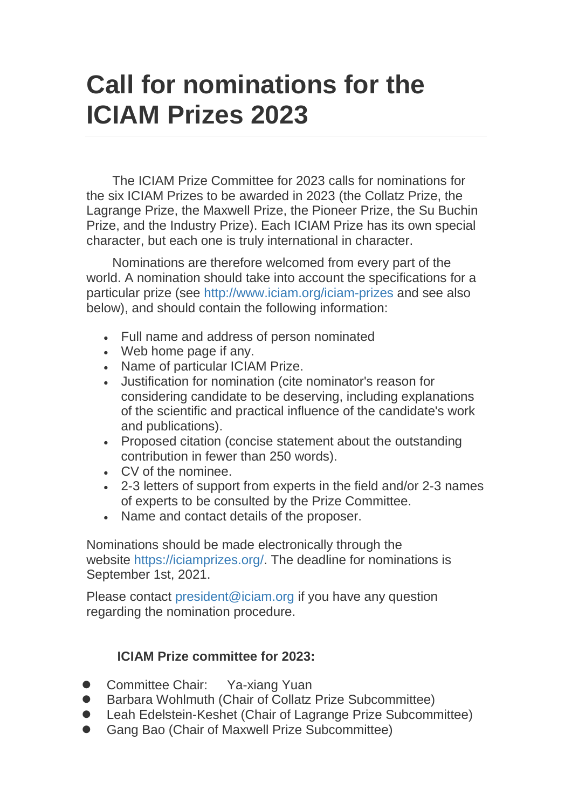## **Call for nominations for the ICIAM Prizes 2023**

The ICIAM Prize Committee for 2023 calls for nominations for the six ICIAM Prizes to be awarded in 2023 (the Collatz Prize, the Lagrange Prize, the Maxwell Prize, the Pioneer Prize, the Su Buchin Prize, and the Industry Prize). Each ICIAM Prize has its own special character, but each one is truly international in character.

Nominations are therefore welcomed from every part of the world. A nomination should take into account the specifications for a particular prize (see <http://www.iciam.org/iciam-prizes> and see also below), and should contain the following information:

- Full name and address of person nominated
- Web home page if any.
- Name of particular ICIAM Prize.
- Justification for nomination (cite nominator's reason for considering candidate to be deserving, including explanations of the scientific and practical influence of the candidate's work and publications).
- Proposed citation (concise statement about the outstanding contribution in fewer than 250 words).
- CV of the nominee.
- 2-3 letters of support from experts in the field and/or 2-3 names of experts to be consulted by the Prize Committee.
- Name and contact details of the proposer.

Nominations should be made electronically through the website [https://iciamprizes.org/.](https://iciamprizes.org/) The deadline for nominations is September 1st, 2021.

Please contact [president@iciam.org](mailto:president@iciam.org) if you have any question regarding the nomination procedure.

## **ICIAM Prize committee for 2023:**

- Committee Chair: Ya-xiang Yuan
- Barbara Wohlmuth (Chair of Collatz Prize Subcommittee)
- Leah Edelstein-Keshet (Chair of Lagrange Prize Subcommittee)
- Gang Bao (Chair of Maxwell Prize Subcommittee)